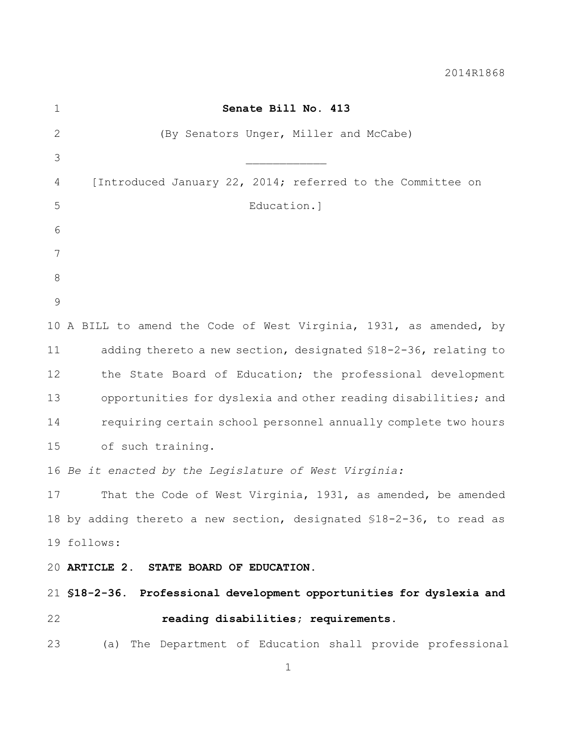2014R1868

| $\mathbf 1$   | Senate Bill No. 413                                                   |
|---------------|-----------------------------------------------------------------------|
| $\mathbf{2}$  | (By Senators Unger, Miller and McCabe)                                |
| 3             |                                                                       |
| 4             | [Introduced January 22, 2014; referred to the Committee on            |
| 5             | Education.]                                                           |
| 6             |                                                                       |
| 7             |                                                                       |
| 8             |                                                                       |
| $\mathcal{G}$ |                                                                       |
|               | 10 A BILL to amend the Code of West Virginia, 1931, as amended, by    |
| 11            | adding thereto a new section, designated \$18-2-36, relating to       |
| 12            | the State Board of Education; the professional development            |
| 13            | opportunities for dyslexia and other reading disabilities; and        |
| 14            | requiring certain school personnel annually complete two hours        |
| 15            | of such training.                                                     |
|               | 16 Be it enacted by the Legislature of West Virginia:                 |
| 17            | That the Code of West Virginia, 1931, as amended, be amended          |
|               | 18 by adding thereto a new section, designated \$18-2-36, to read as  |
|               | 19 follows:                                                           |
|               | 20 ARTICLE 2. STATE BOARD OF EDUCATION.                               |
|               | 21 \$18-2-36. Professional development opportunities for dyslexia and |
| 22            | reading disabilities; requirements.                                   |
| 23            | (a) The Department of Education shall provide professional            |